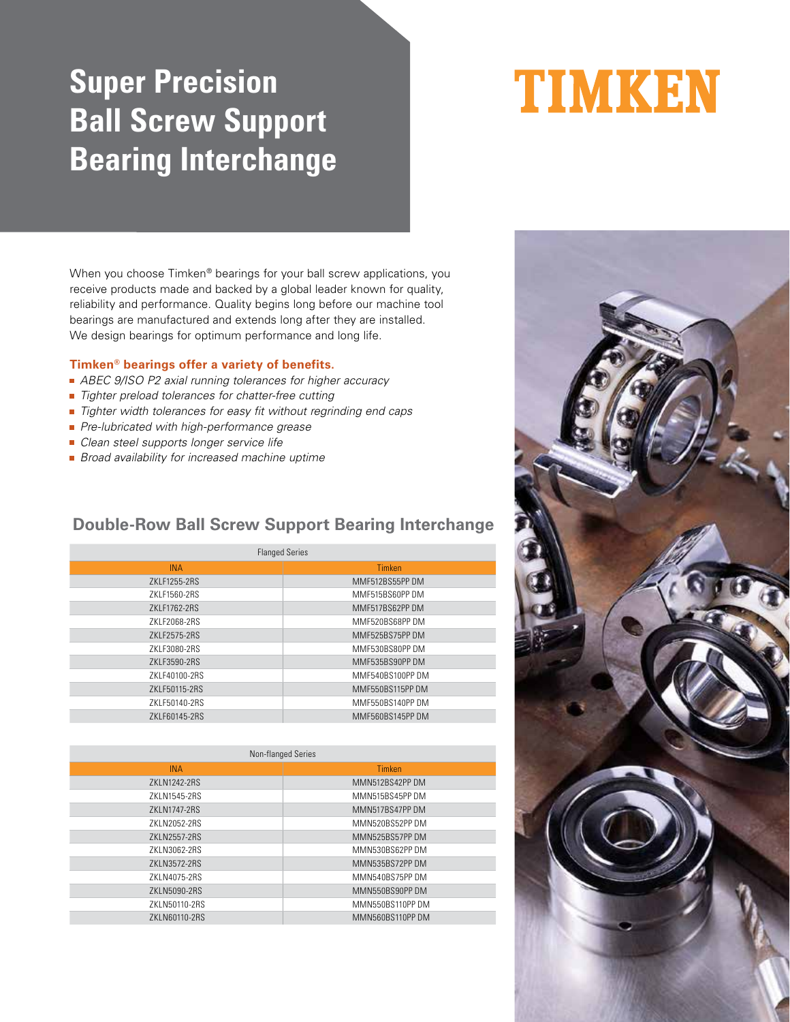# **Super Precision Ball Screw Support Bearing Interchange**

When you choose Timken® bearings for your ball screw applications, you receive products made and backed by a global leader known for quality, reliability and performance. Quality begins long before our machine tool bearings are manufactured and extends long after they are installed. We design bearings for optimum performance and long life.

### **Timken® bearings offer a variety of benefits.**

- ABEC 9/ISO P2 axial running tolerances for higher accuracy
- Tighter preload tolerances for chatter-free cutting
- Tighter width tolerances for easy fit without regrinding end caps
- Pre-lubricated with high-performance grease
- Clean steel supports longer service life
- **Broad availability for increased machine uptime**

### **Double-Row Ball Screw Support Bearing Interchange**

| <b>Flanged Series</b> |                  |  |  |  |  |  |  |  |
|-----------------------|------------------|--|--|--|--|--|--|--|
| <b>INA</b>            | <b>Timken</b>    |  |  |  |  |  |  |  |
| 7KI F1255-2RS         | MMF512BS55PP DM  |  |  |  |  |  |  |  |
| 7KI F1560-2RS         | MMF515BS60PP DM  |  |  |  |  |  |  |  |
| ZKLF1762-2RS          | MMF517BS62PP DM  |  |  |  |  |  |  |  |
| ZKLF2068-2RS          | MMF520BS68PP DM  |  |  |  |  |  |  |  |
| ZKLF2575-2RS          | MMF525BS75PP DM  |  |  |  |  |  |  |  |
| ZKLF3080-2RS          | MMF530BS80PP DM  |  |  |  |  |  |  |  |
| ZKLF3590-2RS          | MMF535BS90PP DM  |  |  |  |  |  |  |  |
| 7KI F40100-2RS        | MMF540BS100PP DM |  |  |  |  |  |  |  |
| ZKLF50115-2RS         | MMF550BS115PP DM |  |  |  |  |  |  |  |
| ZKLF50140-2RS         | MMF550BS140PP DM |  |  |  |  |  |  |  |
| 7KI F60145-2RS        | MMF560BS145PP DM |  |  |  |  |  |  |  |

| Non-flanged Series |                  |  |  |  |  |  |  |  |
|--------------------|------------------|--|--|--|--|--|--|--|
| <b>INA</b>         | Timken           |  |  |  |  |  |  |  |
| ZKLN1242-2RS       | MMN512BS42PP DM  |  |  |  |  |  |  |  |
| 7KI N1545-2RS      | MMN515BS45PP DM  |  |  |  |  |  |  |  |
| 7KI N1747-2RS      | MMN517BS47PP DM  |  |  |  |  |  |  |  |
| 7KI N2052-2RS      | MMN520BS52PP DM  |  |  |  |  |  |  |  |
| 7KI N2557-2RS      | MMN525BS57PP DM  |  |  |  |  |  |  |  |
| 7KIN3062-2RS       | MMN530BS62PP DM  |  |  |  |  |  |  |  |
| ZKLN3572-2RS       | MMN535BS72PP DM  |  |  |  |  |  |  |  |
| 7KI N4075-2RS      | MMN540BS75PP DM  |  |  |  |  |  |  |  |
| ZKLN5090-2RS       | MMN550BS90PP DM  |  |  |  |  |  |  |  |
| 7KIN50110-2RS      | MMN550BS110PP DM |  |  |  |  |  |  |  |
| ZKLN60110-2RS      | MMN560BS110PP DM |  |  |  |  |  |  |  |
|                    |                  |  |  |  |  |  |  |  |



# TIMKEN